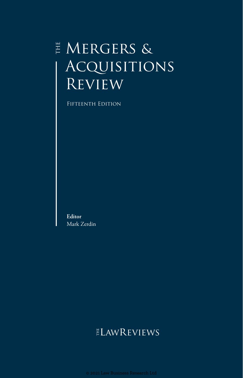## $\overset{\scriptscriptstyle \mathrm{H}}{\vphantom{\sim}}$  MERGERS & ACQUISITIONS' **REVIEW**

Fifteenth Edition

**Editor** Mark Zerdin

## **ELAWREVIEWS**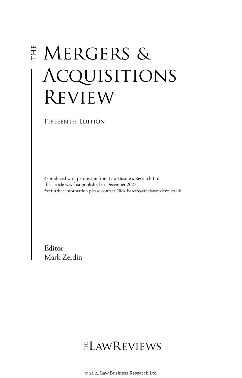# **E MERGERS &** Acquisitions Review

Fifteenth Edition

Reproduced with permission from Law Business Research Ltd This article was first published in December 2021 For further information please contact Nick.Barette@thelawreviews.co.uk

**Editor** Mark Zerdin

## ELAWREVIEWS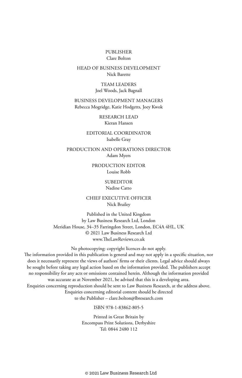### PUBLISHER Clare Bolton

### HEAD OF BUSINESS DEVELOPMENT Nick Barette

TEAM LEADERS Joel Woods, Jack Bagnall

BUSINESS DEVELOPMENT MANAGERS Rebecca Mogridge, Katie Hodgetts, Joey Kwok

> RESEARCH LEAD Kieran Hansen

EDITORIAL COORDINATOR Isabelle Gray

PRODUCTION AND OPERATIONS DIRECTOR Adam Myers

> PRODUCTION EDITOR Louise Robb

### **SUBEDITOR** Nadine Catto

CHIEF EXECUTIVE OFFICER Nick Brailey

Published in the United Kingdom by Law Business Research Ltd, London Meridian House, 34–35 Farringdon Street, London, EC4A 4HL, UK © 2021 Law Business Research Ltd www.TheLawReviews.co.uk

No photocopying: copyright licences do not apply. The information provided in this publication is general and may not apply in a specific situation, nor does it necessarily represent the views of authors' firms or their clients. Legal advice should always be sought before taking any legal action based on the information provided. The publishers accept no responsibility for any acts or omissions contained herein. Although the information provided was accurate as at November 2021, be advised that this is a developing area. Enquiries concerning reproduction should be sent to Law Business Research, at the address above. Enquiries concerning editorial content should be directed to the Publisher – clare.bolton@lbresearch.com

ISBN 978-1-83862-805-5

Printed in Great Britain by Encompass Print Solutions, Derbyshire Tel: 0844 2480 112

© 2021 Law Business Research Ltd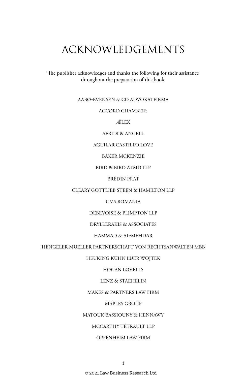## ACKNOWLEDGEMENTS

The publisher acknowledges and thanks the following for their assistance throughout the preparation of this book:

### AABØ-EVENSEN & CO ADVOKATFIRMA

### ACCORD CHAMBERS

ÁELEX

AFRIDI & ANGELL

### AGUILAR CASTILLO LOVE

BAKER MCKENZIE

### BIRD & BIRD ATMD LLP

BREDIN PRAT

### CLEARY GOTTLIEB STEEN & HAMILTON LLP

CMS ROMANIA

DEBEVOISE & PLIMPTON LLP

### DRYLLERAKIS & ASSOCIATES

### HAMMAD & AL-MEHDAR

### HENGELER MUELLER PARTNERSCHAFT VON RECHTSANWÄLTEN MBB

### HEUKING KÜHN LÜER WOJTEK

### HOGAN LOVELLS

### LENZ & STAEHELIN

### MAKES & PARTNERS LAW FIRM

### MAPLES GROUP

### MATOUK BASSIOUNY & HENNAWY

### MCCARTHY TÉTRAULT LLP

### OPPENHEIM LAW FIRM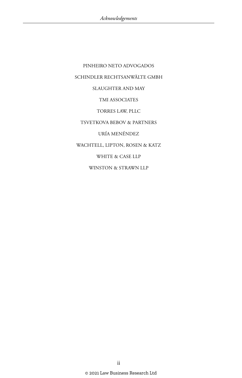PINHEIRO NETO ADVOGADOS SCHINDLER RECHTSANWÄLTE GMBH **SLAUGHTER AND MAY** TMI ASSOCIATES TORRES LAW, PLLC TSVETKOVA BEBOV & PARTNERS URÍA MENÉNDEZ WACHTELL, LIPTON, ROSEN & KATZ WHITE & CASE LLP WINSTON & STRAWN LLP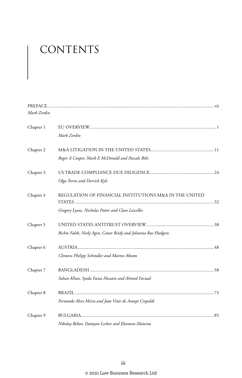# CONTENTS

| Mark Zerdin |                                                                                                              |  |
|-------------|--------------------------------------------------------------------------------------------------------------|--|
| Chapter 1   | Mark Zerdin                                                                                                  |  |
| Chapter 2   | Roger A Cooper, Mark E McDonald and Pascale Bibi                                                             |  |
| Chapter 3   | Olga Torres and Derrick Kyle                                                                                 |  |
| Chapter 4   | REGULATION OF FINANCIAL INSTITUTIONS M&A IN THE UNITED<br>Gregory Lyons, Nicholas Potter and Clare Lascelles |  |
| Chapter 5   | Richie Falek, Neely Agin, Conor Reidy and Johanna Rae Hudgens                                                |  |
| Chapter 6   | Clemens Philipp Schindler and Martin Abram                                                                   |  |
| Chapter 7   | Suhan Khan, Syeda Faiza Hossain and Ahmed Farzad                                                             |  |
| Chapter 8   | Fernando Alves Meira and João Vitor de Araujo Crepaldi                                                       |  |
| Chapter 9   | Nikolay Reboy, Damyan Leshey and Fleonora Mateina                                                            |  |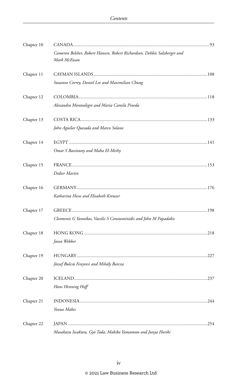| Chapter 10 |                                                                                         |  |
|------------|-----------------------------------------------------------------------------------------|--|
|            | Cameron Belsher, Robert Hansen, Robert Richardson, Debbie Salzberger and<br>Mark McEwan |  |
| Chapter 11 |                                                                                         |  |
|            | Suzanne Correy, Daniel Lee and Maximilian Chung                                         |  |
| Chapter 12 |                                                                                         |  |
|            | Alexandra Montealegre and Maria Camila Pineda                                           |  |
| Chapter 13 |                                                                                         |  |
|            | John Aguilar Quesada and Marco Solano                                                   |  |
| Chapter 14 |                                                                                         |  |
|            | Omar S Bassiouny and Maha El-Meihy                                                      |  |
| Chapter 15 |                                                                                         |  |
|            | Didier Martin                                                                           |  |
| Chapter 16 |                                                                                         |  |
|            | Katharina Hesse and Elisabeth Kreuzer                                                   |  |
| Chapter 17 |                                                                                         |  |
|            | Cleomenis G Yannikas, Vassilis S Constantinidis and John M Papadakis                    |  |
| Chapter 18 |                                                                                         |  |
|            | Jason Webber                                                                            |  |
| Chapter 19 |                                                                                         |  |
|            | József Bulcsú Fenyvesi and Mihály Barcza                                                |  |
| Chapter 20 |                                                                                         |  |
|            | Hans Henning Hoff                                                                       |  |
| Chapter 21 |                                                                                         |  |
|            | Yozua Makes                                                                             |  |
| Chapter 22 |                                                                                         |  |
|            | Masakazu Jwakura, Gyo Toda, Makiko Yamamoto and Junya Horiki                            |  |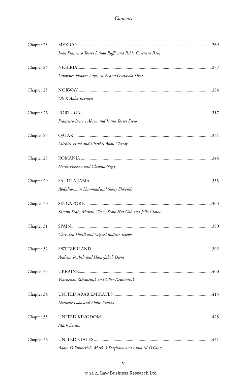| Chapter 23 |                                                           |  |
|------------|-----------------------------------------------------------|--|
|            | Juan Francisco Torres Landa Ruffo and Pablo Corcuera Bain |  |
| Chapter 24 |                                                           |  |
|            | Lawrence Fubara Anga, SAN and Oyeyosola Diya              |  |
| Chapter 25 |                                                           |  |
|            | Ole K Aabø-Evensen                                        |  |
| Chapter 26 |                                                           |  |
|            | Francisco Brito e Abreu and Joana Torres Ereio            |  |
| Chapter 27 |                                                           |  |
|            | Michiel Visser and Charbel Abou Charaf                    |  |
| Chapter 28 |                                                           |  |
|            | Horea Popescu and Claudia Nagy                            |  |
| Chapter 29 |                                                           |  |
|            | Abdulrahman Hammad and Samy Elsheikh                      |  |
| Chapter 30 |                                                           |  |
|            | Sandra Seah, Marcus Chow, Seow Hui Goh and Jolie Giouw    |  |
| Chapter 31 |                                                           |  |
|            | Christian Hoedl and Miguel Bolívar Tejedo                 |  |
| Chapter 32 |                                                           |  |
|            | Andreas Rötheli and Hans-Jakob Diem                       |  |
| Chapter 33 |                                                           |  |
|            | Viacheslav Yakymchuk and Olha Demianiuk                   |  |
| Chapter 34 |                                                           |  |
|            | Danielle Lobo and Abdus Samad                             |  |
| Chapter 35 |                                                           |  |
|            | Mark Zerdin                                               |  |
| Chapter 36 |                                                           |  |
|            | Adam O Emmerich, Mark A Stagliano and Anna M D'Ginto      |  |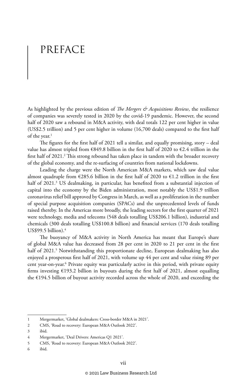## PREFACE

As highlighted by the previous edition of *The Mergers & Acquisitions Review*, the resilience of companies was severely tested in 2020 by the covid-19 pandemic. However, the second half of 2020 saw a rebound in M&A activity, with deal totals 122 per cent higher in value (US\$2.5 trillion) and 5 per cent higher in volume (16,700 deals) compared to the first half of the year.<sup>1</sup>

The figures for the first half of 2021 tell a similar, and equally promising, story – deal value has almost tripled from  $\epsilon$ 849.8 billion in the first half of 2020 to  $\epsilon$ 2.4 trillion in the first half of 2021.2 This strong rebound has taken place in tandem with the broader recovery of the global economy, and the re-surfacing of countries from national lockdowns.

Leading the charge were the North American M&A markets, which saw deal value almost quadruple from  $\epsilon$ 285.6 billion in the first half of 2020 to  $\epsilon$ 1.2 trillion in the first half of 2021.<sup>3</sup> US dealmaking, in particular, has benefited from a substantial injection of capital into the economy by the Biden administration, most notably the US\$1.9 trillion coronavirus relief bill approved by Congress in March, as well as a proliferation in the number of special purpose acquisition companies (SPACs) and the unprecedented levels of funds raised thereby. In the Americas more broadly, the leading sectors for the first quarter of 2021 were technology, media and telecoms (548 deals totalling US\$206.1 billion), industrial and chemicals (300 deals totalling US\$100.8 billion) and financial services (170 deals totalling US\$99.5 billion $\mathcal{L}^4$ 

The buoyancy of M&A activity in North America has meant that Europe's share of global M&A value has decreased from 28 per cent in 2020 to 21 per cent in the first half of 2021.<sup>5</sup> Notwithstanding this proportionate decline, European dealmaking has also enjoyed a prosperous first half of 2021, with volume up 44 per cent and value rising 89 per cent year-on-year.<sup>6</sup> Private equity was particularly active in this period, with private equity firms investing  $£193.2$  billion in buyouts during the first half of 2021, almost equalling the €194.5 billion of buyout activity recorded across the whole of 2020, and exceeding the

<sup>1</sup> Mergermarket, 'Global dealmakers: Cross-border M&A in 2021'.

<sup>2</sup> CMS, 'Road to recovery: European M&A Outlook 2022'.

<sup>3</sup> ibid.

<sup>4</sup> Mergermarket, 'Deal Drivers: Americas Q1 2021'.

<sup>5</sup> CMS, 'Road to recovery: European M&A Outlook 2022'.

<sup>6</sup> ibid.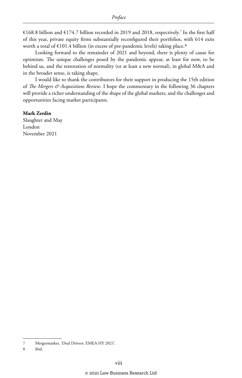€168.8 billion and €174.7 billion recorded in 2019 and 2018, respectively.<sup>7</sup> In the first half of this year, private equity firms substantially reconfigured their portfolios, with 614 exits worth a total of  $\text{\textsterling}101.4$  billion (in excess of pre-pandemic levels) taking place.<sup>8</sup>

Looking forward to the remainder of 2021 and beyond, there is plenty of cause for optimism. The unique challenges posed by the pandemic appear, at least for now, to be behind us, and the restoration of normality (or at least a new normal), in global M&A and in the broader sense, is taking shape.

I would like to thank the contributors for their support in producing the 15th edition of *The Mergers & Acquisitions Review*. I hope the commentary in the following 36 chapters will provide a richer understanding of the shape of the global markets, and the challenges and opportunities facing market participants.

### **Mark Zerdin**

Slaughter and May London November 2021

8 ibid.

<sup>7</sup> Mergermarket, 'Deal Drivers: EMEA HY 2021'.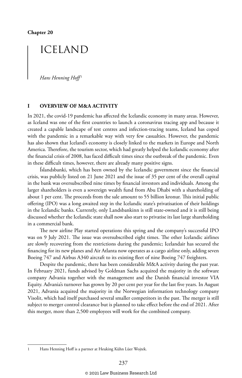### ICELAND

*Hans Henning Hoff* <sup>1</sup>

### **I OVERVIEW OF M&A ACTIVITY**

In 2021, the covid-19 pandemic has affected the Icelandic economy in many areas. However, as Iceland was one of the first countries to launch a coronavirus tracing app and because it created a capable landscape of test centres and infection-tracing teams, Iceland has coped with the pandemic in a remarkable way with very few casualties. However, the pandemic has also shown that Iceland's economy is closely linked to the markets in Europe and North America. Therefore, the tourism sector, which had greatly helped the Icelandic economy after the financial crisis of 2008, has faced difficult times since the outbreak of the pandemic. Even in these difficult times, however, there are already many positive signs.

Íslandsbanki, which has been owned by the Icelandic government since the financial crisis, was publicly listed on 21 June 2021 and the issue of 35 per cent of the overall capital in the bank was oversubscribed nine times by financial investors and individuals. Among the larger shareholders is even a sovereign wealth fund from Abu Dhabi with a shareholding of about 1 per cent. The proceeds from the sale amount to 55 billion kronur. This initial public offering (IPO) was a long awaited step in the Icelandic state's privatisation of their holdings in the Icelandic banks. Currently, only Landsbankinn is still state-owned and it is still being discussed whether the Icelandic state shall now also start to privatise its last large shareholding in a commercial bank.

The new airline Play started operations this spring and the company's successful IPO was on 9 July 2021. The issue was oversubscribed eight times. The other Icelandic airlines are slowly recovering from the restrictions during the pandemic; Icelandair has secured the financing for its new planes and Air Atlanta now operates as a cargo airline only, adding seven Boeing 747 and Airbus A340 aircraft to its existing fleet of nine Boeing 747 freighters.

Despite the pandemic, there has been considerable M&A activity during the past year. In February 2021, funds advised by Goldman Sachs acquired the majority in the software company Advania together with the management and the Danish financial investor VIA Equity. Advania's turnover has grown by 20 per cent per year for the last five years. In August 2021, Advania acquired the majority in the Norwegian information technology company Visolit, which had itself purchased several smaller competitors in the past. The merger is still subject to merger control clearance but is planned to take effect before the end of 2021. After this merger, more than 2,500 employees will work for the combined company.

<sup>1</sup> Hans Henning Hoff is a partner at Heuking Kühn Lüer Wojtek.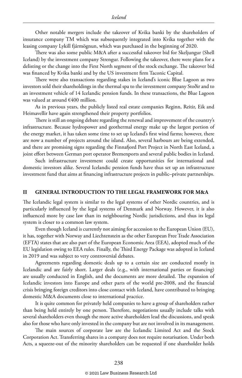Other notable mergers include the takeover of Kvika banki by the shareholders of insurance company TM which was subsequently integrated into Kvika together with the leasing company Lykill fjármögnun, which was purchased in the beginning of 2020.

There was also some public M&A after a successful takeover bid for Skeljungur (Shell Iceland) by the investment company Strengur. Following the takeover, there were plans for a delisting or the change into the First North segment of the stock exchange. The takeover bid was financed by Kvika banki and by the US investment firm Taconic Capital.

There were also transactions regarding stakes in Iceland's iconic Blue Lagoon as two investors sold their shareholdings in the thermal spa to the investment company Stoðir and to an investment vehicle of 14 Icelandic pension funds. In these transactions, the Blue Lagoon was valued at around €400 million.

As in previous years, the publicly listed real estate companies Reginn, Reitir, Eik and Heimavellir have again strengthened their property portfolios.

There is still an ongoing debate regarding the renewal and improvement of the country's infrastructure. Because hydropower and geothermal energy make up the largest portion of the energy market, it has taken some time to set up Iceland's first wind farms; however, there are now a number of projects around the island. Also, several harbours are being extended, and there are promising signs regarding the Finnafjord Port Project in North East Iceland, a joint effort between German port operator Bremenports and several public bodies in Iceland.

Such infrastructure investment could create opportunities for international and domestic investors alike. Several Icelandic pension funds have thus set up an infrastructure investment fund that aims at financing infrastructure projects in public–private partnerships.

### **II GENERAL INTRODUCTION TO THE LEGAL FRAMEWORK FOR M&A**

The Icelandic legal system is similar to the legal systems of other Nordic countries, and is particularly influenced by the legal systems of Denmark and Norway. However, it is also influenced more by case law than its neighbouring Nordic jurisdictions, and thus its legal system is closer to a common law system.

Even though Iceland is currently not aiming for accession to the European Union (EU), it has, together with Norway and Liechtenstein as the other European Free Trade Association (EFTA) states that are also part of the European Economic Area (EEA), adopted much of the EU legislation owing to EEA rules. Finally, the Third Energy Package was adopted in Iceland in 2019 and was subject to very controversial debates.

Agreements regarding domestic deals up to a certain size are conducted mostly in Icelandic and are fairly short. Larger deals (e.g., with international parties or financing) are usually conducted in English, and the documents are more detailed. The expansion of Icelandic investors into Europe and other parts of the world pre-2008, and the financial crisis bringing foreign creditors into close contact with Iceland, have contributed to bringing domestic M&A documents close to international practice.

It is quite common for privately held companies to have a group of shareholders rather than being held entirely by one person. Therefore, negotiations usually include talks with several shareholders even though the more active shareholders lead the discussions, and speak also for those who have only invested in the company but are not involved in its management.

The main sources of corporate law are the Icelandic Limited Act and the Stock Corporation Act. Transferring shares in a company does not require notarisation. Under both Acts, a squeeze-out of the minority shareholders can be requested if one shareholder holds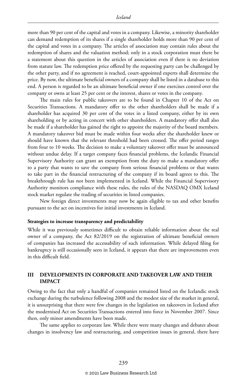more than 90 per cent of the capital and votes in a company. Likewise, a minority shareholder can demand redemption of its shares if a single shareholder holds more than 90 per cent of the capital and votes in a company. The articles of association may contain rules about the redemption of shares and the valuation method; only in a stock corporation must there be a statement about this question in the articles of association even if there is no deviation from statute law. The redemption price offered by the requesting party can be challenged by the other party, and if no agreement is reached, court-appointed experts shall determine the price. By now, the ultimate beneficial owners of a company shall be listed in a database to this end. A person is regarded to be an ultimate beneficial owner if one exercises control over the company or owns at least 25 per cent or the interest, shares or votes in the company.

The main rules for public takeovers are to be found in Chapter 10 of the Act on Securities Transactions. A mandatory offer to the other shareholders shall be made if a shareholder has acquired 30 per cent of the votes in a listed company, either by its own shareholding or by acting in concert with other shareholders. A mandatory offer shall also be made if a shareholder has gained the right to appoint the majority of the board members. A mandatory takeover bid must be made within four weeks after the shareholder knew or should have known that the relevant threshold had been crossed. The offer period ranges from four to 10 weeks. The decision to make a voluntary takeover offer must be announced without undue delay. If a target company faces financial problems, the Icelandic Financial Supervisory Authority can grant an exemption from the duty to make a mandatory offer to a party that wants to save the company from serious financial problems or that wants to take part in the financial restructuring of the company if its board agrees to this. The breakthrough rule has not been implemented in Iceland. While the Financial Supervisory Authority monitors compliance with these rules, the rules of the NASDAQ OMX Iceland stock market regulate the trading of securities in listed companies.

New foreign direct investments may now be again eligible to tax and other benefits pursuant to the act on incentives for initial investments in Iceland.

#### **Strategies to increase transparency and predictability**

While it was previously sometimes difficult to obtain reliable information about the real owner of a company, the Act 82/2019 on the registration of ultimate beneficial owners of companies has increased the accessability of such information. While delayed filing for bankruptcy is still occasionally seen in Iceland, it appears that there are improvements even in this difficult field.

### **III DEVELOPMENTS IN CORPORATE AND TAKEOVER LAW AND THEIR IMPACT**

Owing to the fact that only a handful of companies remained listed on the Icelandic stock exchange during the turbulence following 2008 and the modest size of the market in general, it is unsurprising that there were few changes in the legislation on takeovers in Iceland after the modernised Act on Securities Transactions entered into force in November 2007. Since then, only minor amendments have been made.

The same applies to corporate law. While there were many changes and debates about changes in insolvency law and restructuring, and competition issues in general, there have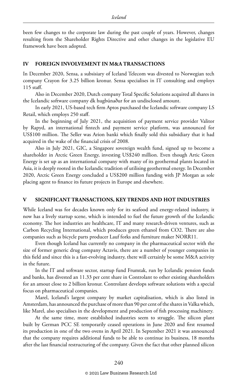been few changes to the corporate law during the past couple of years. However, changes resulting from the Shareholder Rights Directive and other changes in the legislative EU framework have been adopted.

### **IV FOREIGN INVOLVEMENT IN M&A TRANSACTIONS**

In December 2020, Sensa, a subsisiary of Iceland Telecom was divested to Norwegian tech company Crayon for 3.25 billion kronur. Sensa specialises in IT consulting and employs 115 staff.

Also in December 2020, Dutch company Total Specific Solutions acquired all shares in the Icelandic software company dk hugbúnaður for an undisclosed amount.

In early 2021, US-based tech firm Aptos purchased the Icelandic software company LS Retail, which employs 250 staff.

In the beginning of July 2021, the acquisition of payment service provider Valitor by Rapyd, an international fintech and payment service platform, was announced for US\$100 million. The Seller was Arion banki which finally sold this subsidiary that it had acquired in the wake of the financial crisis of 2008.

Also in July 2021, GIC, a Singapore sovereign wealth fund, signed up to become a shareholder in Arctic Green Energy, investing US\$240 million. Even though Artic Green Energy is set up as an international company with many of its geothermal plants located in Asia, it is deeply rooted in the Icelandic tradition of utilising geothermal energy. In December 2020, Arctic Green Energy concluded a US\$200 million funding with JP Morgan as sole placing agent to finance its future projects in Europe and elsewhere.

### **V SIGNIFICANT TRANSACTIONS, KEY TRENDS AND HOT INDUSTRIES**

While Iceland was for decades known only for its seafood and energy-related industry, it now has a lively startup scene, which is intended to fuel the future growth of the Icelandic economy. The hot industries are healthcare, IT and many research-driven ventures, such as Carbon Recycling International, which produces green ethanol from CO2. There are also companies such as bicycle parts producer Lauf forks and furniture maker NORR11.

Even though Iceland has currently no company in the pharmaceutical sector with the size of former generic drug company Actavis, there are a number of younger companies in this field and since this is a fast-evolving industry, there will certainly be some M&A activity in the future.

In the IT and software sector, startup fund Frumtak, run by Icelandic pension funds and banks, has divested an 11.33 per cent share in Controlant to other existing shareholders for an amout close to 2 billion kronur. Controlant develops software solutions with a special focus on pharmaceutical companies.

Marel, Iceland's largest company by market capitalisation, which is also listed in Amsterdam, has announced the purchase of more than 90 per cent of the shares in Valka which, like Marel, also specialises in the development and production of fish processing machinery.

At the same time, more established industries seem to struggle. The silicon plant built by German PCC SE temporarily ceased operations in June 2020 and first resumed its production in one of the two ovens in April 2021. In September 2021 it was announced that the company requires additional funds to be able to continue its business, 18 months after the last financial restructuring of the company. Given the fact that other planned silicon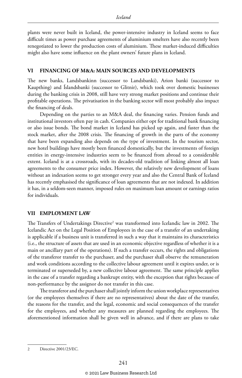plants were never built in Iceland, the power-intensive industry in Iceland seems to face difficult times as power purchase agreements of aluminium smelters have also recently been renegotiated to lower the production costs of aluminium. These market-induced difficulties might also have some influence on the plant owners' future plans in Iceland.

### **VI FINANCING OF M&A: MAIN SOURCES AND DEVELOPMENTS**

The new banks, Landsbankinn (successor to Landsbanki), Arion banki (successor to Kaupthing) and Íslandsbanki (successor to Glitnir), which took over domestic businesses during the banking crisis in 2008, still have very strong market positions and continue their profitable operations. The privatisation in the banking sector will most probably also impact the financing of deals.

Depending on the parties to an M&A deal, the financing varies. Pension funds and institutional investors often pay in cash. Companies either opt for traditional bank financing or also issue bonds. The bond market in Iceland has picked up again, and faster than the stock market, after the 2008 crisis. The financing of growth in the parts of the economy that have been expanding also depends on the type of investment. In the tourism sector, new hotel buildings have mostly been financed domestically, but the investments of foreign entities in energy-intensive industries seem to be financed from abroad to a considerable extent. Iceland is at a crossroads, with its decades-old tradition of linking almost all loan agreements to the consumer price index. However, the relatively new development of loans without an indexation seems to get stronger every year and also the Central Bank of Iceland has recently emphasised the significance of loan agreements that are not indexed. In addition it has, in a seldom-seen manner, imposed rules on maximum loan amount or earnings ratios for individuals.

### **VII EMPLOYMENT LAW**

The Transfers of Undertakings Directive2 was transformed into Icelandic law in 2002. The Icelandic Act on the Legal Position of Employees in the case of a transfer of an undertaking is applicable if a business unit is transferred in such a way that it maintains its characteristics (i.e., the structure of assets that are used in an economic objective regardless of whether it is a main or ancillary part of the operations). If such a transfer occurs, the rights and obligations of the transferor transfer to the purchaser, and the purchaser shall observe the remuneration and work conditions according to the collective labour agreement until it expires under, or is terminated or superseded by, a new collective labour agreement. The same principle applies in the case of a transfer regarding a bankrupt entity, with the exception that rights because of non-performance by the assignor do not transfer in this case.

The transferor and the purchaser shall jointly inform the union workplace representatives (or the employees themselves if there are no representatives) about the date of the transfer, the reasons for the transfer, and the legal, economic and social consequences of the transfer for the employees, and whether any measures are planned regarding the employees. The aforementioned information shall be given well in advance, and if there are plans to take

<sup>2</sup> Directive 2001/23/EC.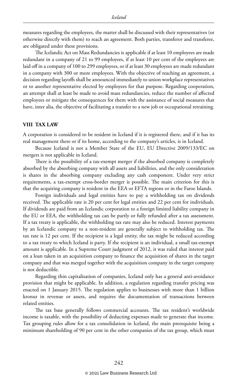measures regarding the employees, the matter shall be discussed with their representatives (or otherwise directly with them) to reach an agreement. Both parties, transferor and transferee, are obligated under these provisions.

The Icelandic Act on Mass Redundancies is applicable if at least 10 employees are made redundant in a company of 21 to 99 employees, if at least 10 per cent of the employees are laid off in a company of 100 to 299 employees, or if at least 30 employees are made redundant in a company with 300 or more employees. With the objective of reaching an agreement, a decision regarding layoffs shall be announced immediately to union workplace representatives or to another representative elected by employees for that purpose. Regarding cooperation, an attempt shall at least be made to avoid mass redundancies, reduce the number of affected employees or mitigate the consequences for them with the assistance of social measures that have, inter alia, the objective of facilitating a transfer to a new job or occupational retraining.

### **VIII TAX LAW**

A corporation is considered to be resident in Iceland if it is registered there, and if it has its real management there or if its home, according to the company's articles, is in Iceland.

Because Iceland is not a Member State of the EU, EU Directive 2009/133/EC on mergers is not applicable in Iceland.

There is the possibility of a tax-exempt merger if the absorbed company is completely absorbed by the absorbing company with all assets and liabilities, and the only consideration is shares in the absorbing company excluding any cash component. Under very strict requirements, a tax-exempt cross-border merger is possible. The main criterion for this is that the acquiring company is resident in the EEA or EFTA regions or in the Faroe Islands.

Foreign individuals and legal entities have to pay a withholding tax on dividends received. The applicable rate is 20 per cent for legal entities and 22 per cent for individuals. If dividends are paid from an Icelandic corporation to a foreign limited liability company in the EU or EEA, the withholding tax can be partly or fully refunded after a tax assessment. If a tax treaty is applicable, the withholding tax rate may also be reduced. Interest payments by an Icelandic company to a non-resident are generally subject to withholding tax. The tax rate is 12 per cent. If the recipient is a legal entity, the tax might be reduced according to a tax treaty to which Iceland is party. If the recipient is an individual, a small tax-exempt amount is applicable. In a Supreme Court judgment of 2012, it was ruled that interest paid on a loan taken in an acquisition company to finance the acquisition of shares in the target company and that was merged together with the acquisition company in the target company is not deductible.

Regarding thin capitalisation of companies, Iceland only has a general anti-avoidance provision that might be applicable. In addition, a regulation regarding transfer pricing was enacted on 1 January 2015. The regulation applies to businesses with more than 1 billion kronur in revenue or assets, and requires the documentation of transactions between related entities.

The tax base generally follows commercial accounts. The tax resident's worldwide income is taxable, with the possibility of deducting expenses made to generate that income. Tax grouping rules allow for a tax consolidation in Iceland, the main prerequisite being a minimum shareholding of 90 per cent in the other companies of the tax group, which must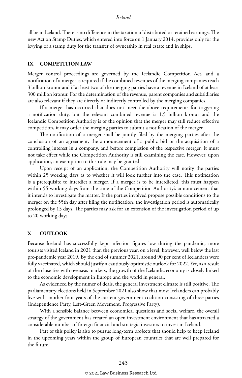all be in Iceland. There is no difference in the taxation of distributed or retained earnings. The new Act on Stamp Duties, which entered into force on 1 January 2014, provides only for the levying of a stamp duty for the transfer of ownership in real estate and in ships.

### **IX COMPETITION LAW**

Merger control proceedings are governed by the Icelandic Competition Act, and a notification of a merger is required if the combined revenues of the merging companies reach 3 billion kronur and if at least two of the merging parties have a revenue in Iceland of at least 300 million kronur. For the determination of the revenue, parent companies and subsidiaries are also relevant if they are directly or indirectly controlled by the merging companies.

If a merger has occurred that does not meet the above requirements for triggering a notification duty, but the relevant combined revenue is 1.5 billion kronur and the Icelandic Competition Authority is of the opinion that the merger may still reduce effective competition, it may order the merging parties to submit a notification of the merger.

The notification of a merger shall be jointly filed by the merging parties after the conclusion of an agreement, the announcement of a public bid or the acquisition of a controlling interest in a company, and before completion of the respective merger. It must not take effect while the Competition Authority is still examining the case. However, upon application, an exemption to this rule may be granted.

Upon receipt of an application, the Competition Authority will notify the parties within 25 working days as to whether it will look further into the case. This notification is a prerequisite to interdict a merger. If a merger is to be interdicted, this must happen within 55 working days from the time of the Competition Authority's announcement that it intends to investigate the matter. If the parties involved propose possible conditions to the merger on the 55th day after filing the notification, the investigation period is automatically prolonged by 15 days. The parties may ask for an extension of the investigation period of up to 20 working days.

### **X OUTLOOK**

Because Iceland has successfully kept infection figures low during the pandemic, more tourists visited Iceland in 2021 than the previous year, on a level, however, well below the last pre-pandemic year 2019. By the end of summer 2021, around 90 per cent of Icelanders were fully vaccinated, which should justify a cautiously optimistic outlook for 2022. Yet, as a result of the close ties with overseas markets, the growth of the Icelandic economy is closely linked to the economic development in Europe and the world in general.

As evidenced by the numer of deals, the general investment climate is still positive. The parliamentary elections held in September 2021 also show that most Icelanders can probably live with another four years of the current government coalition consisting of three parties (Independence Party, Left-Green Movement, Progressive Party).

With a sensible balance between economical questions and social welfare, the overall strategy of the government has created an open investment environment that has attracted a considerable number of foreign financial and strategic investors to invest in Iceland.

Part of this policy is also to pursue long-term projects that should help to keep Iceland in the upcoming years within the group of European countries that are well prepared for the future.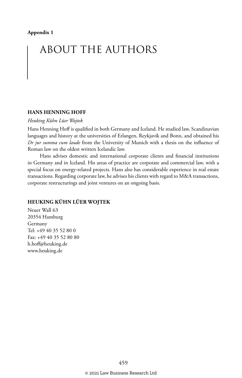## ABOUT THE AUTHORS

### **HANS HENNING HOFF**

### *Heuking Kühn Lüer Wojtek*

Hans Henning Hoff is qualified in both Germany and Iceland. He studied law, Scandinavian languages and history at the universities of Erlangen, Reykjavík and Bonn, and obtained his *Dr jur summa cum laude* from the University of Munich with a thesis on the influence of Roman law on the oldest written Icelandic law.

Hans advises domestic and international corporate clients and financial institutions in Germany and in Iceland. His areas of practice are corporate and commercial law, with a special focus on energy-related projects. Hans also has considerable experience in real estate transactions. Regarding corporate law, he advises his clients with regard to M&A transactions, corporate restructurings and joint ventures on an ongoing basis.

### **HEUKING KÜHN LÜER WOJTEK**

Neuer Wall 63 20354 Hamburg Germany Tel: +49 40 35 52 80 0 Fax: +49 40 35 52 80 80 h.hoff@heuking.de www.heuking.de